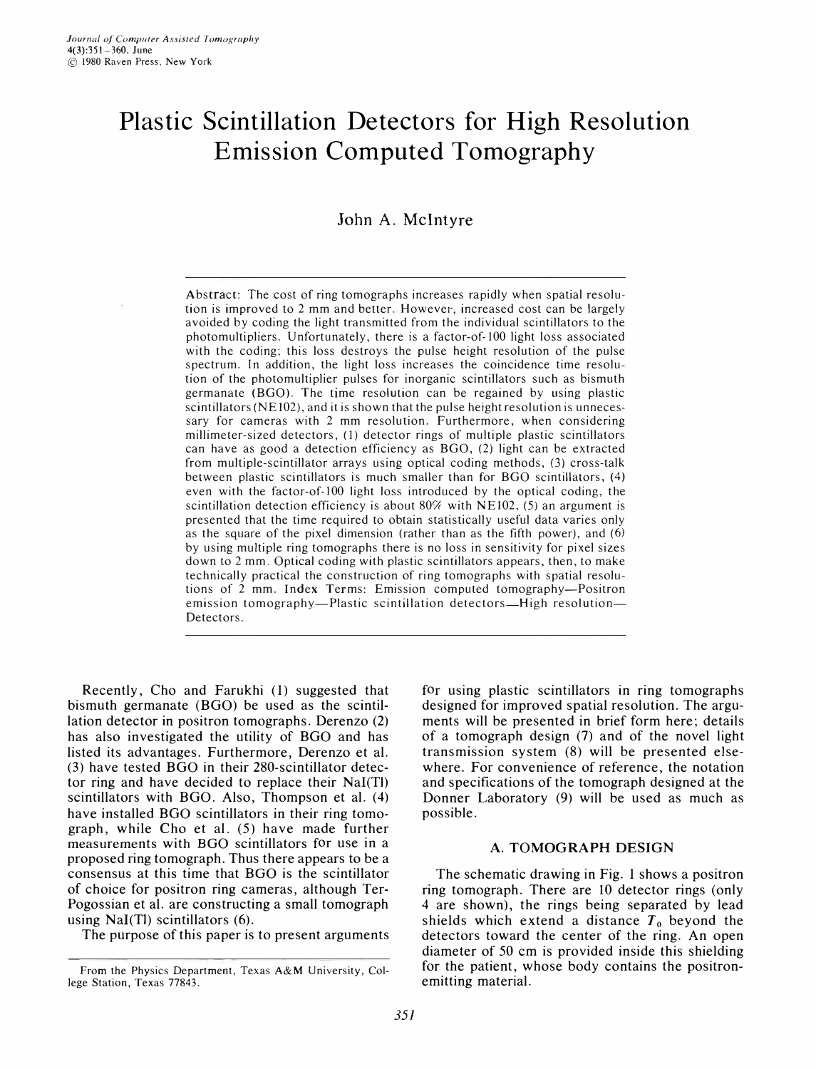# **Plastic Scintillation Detectors for High Resolution Emission Computed Tomography**

# John A. Mcintyre

Abstract: The cost of ring tomographs increases rapidly when spatial resolution is improved to 2 mm and better. However, increased cost can be largely avoided by coding the light transmitted from the individual scintillators to the photomultipliers. Unfortunately, there is a factor-of- 100 light loss associated with the coding: this loss destroys the pulse height resolution of the pulse spectrum. In addition, the light loss increases the coincidence time resolu tion of the photomultiplier pulses for inorganic scintillators such as bismuth germanate (BGO). The time resolution can be regained by using plastic scintillators (NE 102), and it is shown that the pulse height resolution is unnecessary for cameras with 2 mm resolution. Furthermore, when considering millimeter-sized detectors, (1) detector rings of multiple plastic scintillators can have as good a detection efficiency as  $BGO$ , (2) light can be extracted from multiple-scintillator arrays using optical coding methods, (3) cross-talk between plastic scintillators is much smaller than for BGO scintillators, (4) even with the factor-of-100 light loss introduced by the optical coding, the scintillation detection efficiency is about  $80\%$  with NE 102, (5) an argument is presented that the time required to obtain statistically useful data varies only as the square of the pixel dimension (rather than as the fifth power), and (6) by using multiple ring tomographs there is no loss in sensitivity for pixel sizes down to 2 mm. Optical coding with plastic scintillators appears, then, to make technically practical the construction of ring tomographs with spatial resolu tions of 2 mm. Index Terms: Emission computed tomography-Positron emission tomography-Plastic scintillation detectors-High resolution-Detectors.

Recently, Cho and Farukhi (1) suggested that bismuth germanate (BGO) be used as the scintillation detector in positron tomographs. Derenzo (2) has also investigated the utility of BGO and has listed its advantages. Furthermore, Derenzo et al. (3) have tested BGO in their 280-scintillator detector ring and have decided to replace their Nal(TI) scintillators with BGO. Also, Thompson et al. (4) have installed BGO scintillators in their ring tomograph, while Cho et al. (5) have made further measurements with BGO scintillators for use in a proposed ring tomograph. Thus there appears to be a consensus at this time that BGO is the scintillator of choice for positron ring cameras, although Ter-Pogossian et al. are constructing a small tomograph using Nal(TI) scintillators (6).

The purpose of this paper is to present arguments

for using plastic scintillators in ring tomographs designed for improved spatial resolution. The arguments will be presented in brief form here; details of a tomograph design (7) and of the novel light transmission system (8) will be presented elsewhere. For convenience of reference, the notation and specifications of the tomograph designed at the Donner Laboratory (9) will be used as much as possible.

#### A. TOMOGRAPH DESIGN

The schematic drawing in Fig. 1 shows a positron ring tomograph. There are IO detector rings (only 4 are shown), the rings being separated by lead shields which extend a distance  $T_0$  beyond the detectors toward the center of the ring. An open diameter of 50 cm is provided inside this shielding for the patient, whose body contains the positronemitting material.

From the Physics Department, Texas A&M University, College Station, Texas 77843.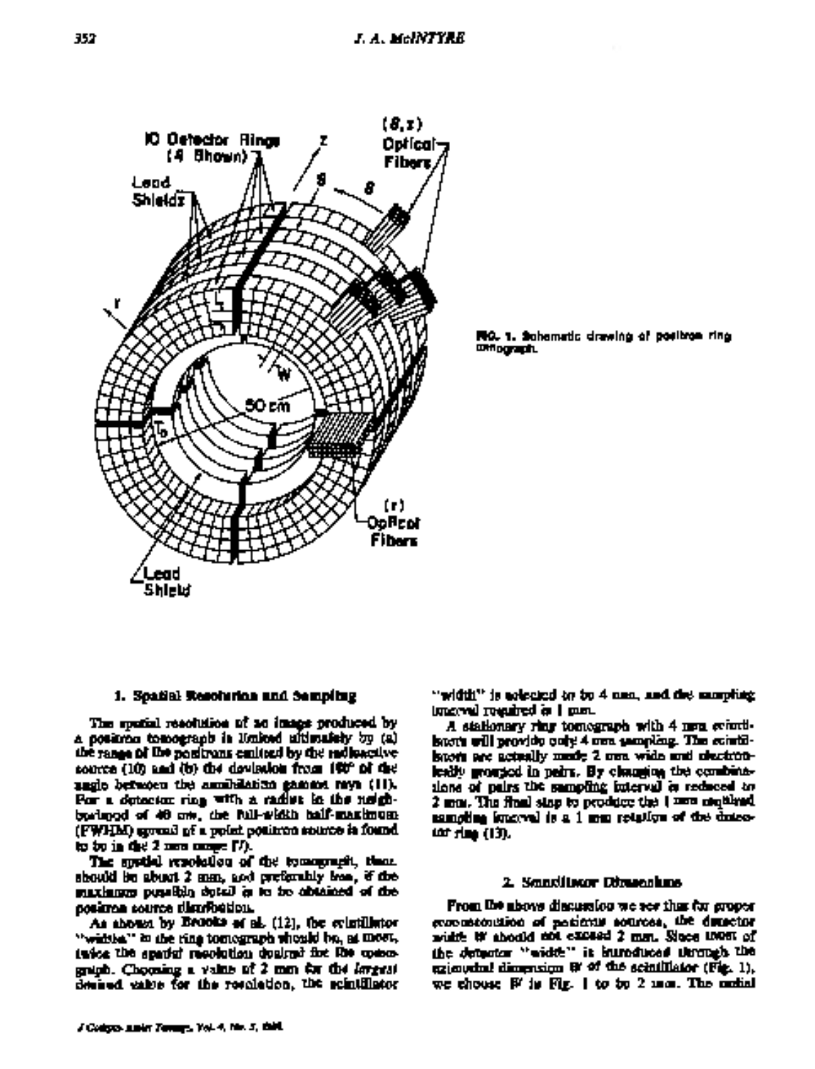

FRG. 1. Schematic drawing of positron ring **OMOGRAP**L

#### 1. Spatial Resolution and Sampling

The spatial resolution of an image produced by a poskona tomograph in Huiked ultimatchy by (a) the range of the positrons contract by the redisactive source (10) and (b) the dovision from 190° of the ungle between the annihilation gamma myn (11). For a detector ring with a radius in the neighbarlangd of 40 cm. the full-width half-masimum (FWHM) groud of a point potitree source is found. to be in the 2 mea camps (7).

The special repotation of the tomograph, than should be abuut 2 mm, and preferably less, if the maximum punalido dotal in to be obtained of the positron cource distribution.

As shown by Brooks of al. (12), the evintillator "widths" in the ring tomograph whould be, at most, infor the spatial resolution dealers for the comognigh. Choosing a value of 2 mm for the inverse deniued eakes for the resolution, the scintillator

"width" is aclocied to be 4 man, and det mampling isterval regulted in 1 pan.

A stationary ring tomograph with 4 men cenedboots will provide only 4 one sampling. The cointilbuon are actually mode 2 one wide and dectronleady grouped in pairs. By changing the combinations of pairs the sampling interval is reduced to 2 mm. The final sing to produce the 1 mm mathed. sampling issuered is a 1 mm retailum of the dutco-(d) de de (13).

#### 2. Soudlings Dimension.

From the above discussion we see that for groper economicousino of posieras sources, the dimector width it should not exceed 2 mm. Sloce most of the detector "width" is humduced through the ezimuthal dimension B' of the scinillator (Fig. 1), we choose  $W$  is Fig. 1 to be 2 mm. The maked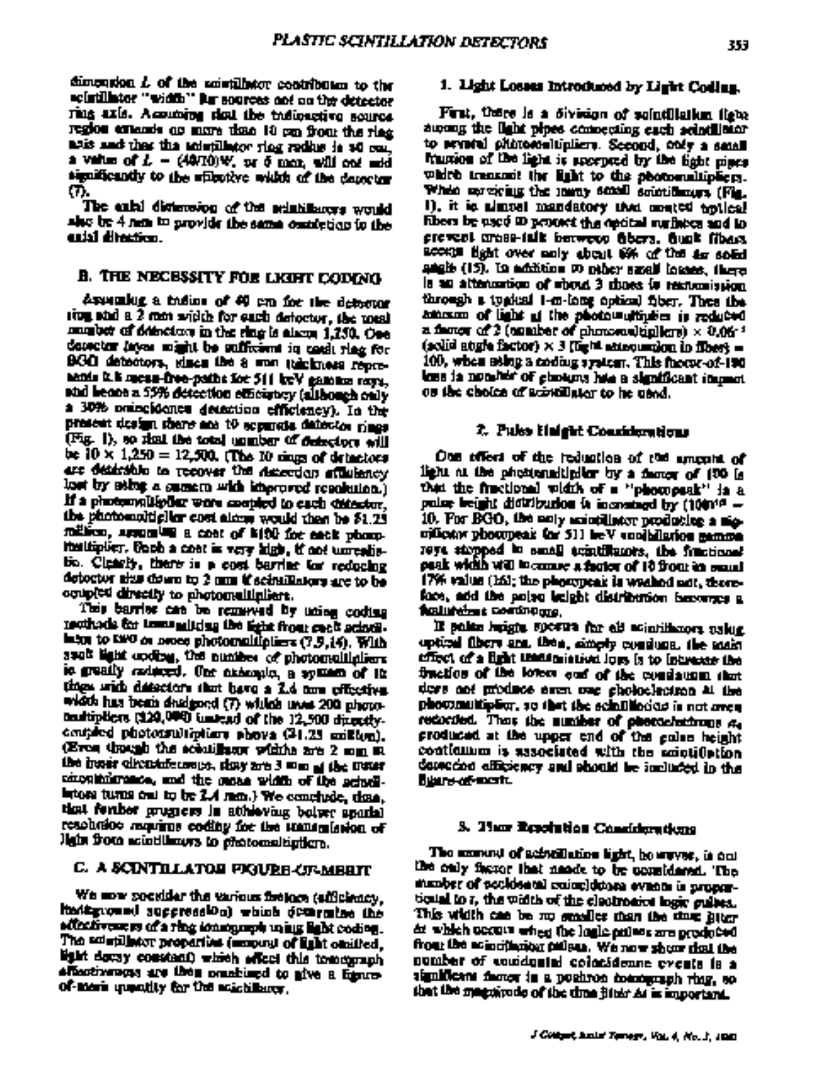dimension  $L$  of the smutillator contributor to the actualistor "width" for sources and no the detector ring axis. Accuming that the indicactive source. region extensis as more time 10 cm from the ring aris and that the admillator ring redius is at cos. a value of  $L = (49/10)\Psi$ , or  $\delta$  mea, will cot add significantly to the uffective width of the deposter m.

The calal distancing of the scientificates would she be 4 non to provide the same oundering to the uki dhatica.

# B. THE NECESSITY FOR LKIFT CODING

Assumbly a todios of 40 cm for the debotor rion and a 2 mm width for each detector, the meal munitor of delectors in the ring is alson 1,250. One conctor invar might be sufficient in each ring for BGCI detectors, idnem the 8 was takeforest repreannis it is mean-free-paths for 511 keV gamma rays. and beans a 55% detection emiciately (although only a 30% omneidence detection efficiency). In the present design share and to approve datestos nings (Fig. 1), so that the total unmber of detectors will be  $10 \times 1.250 = 12,500$ . (The 10 rings of detectors are desirable to recover the descripts affiniency lost by sting a summer with improved resolution.) If a photomoliarlist were coupled to each distantor, the photomological cost along would then be \$1.23 million, appealing a cost of biftl for each phoneitsulfiplier. Goob a cost is very high, if not unrealistio. Clearly, there is a cost barrier for reducing detector thus down to 2 nm if scintillators are to be coupled directly to photomellipliant.

They carrier can be removed by uning coding mothods for temanuiting the light from each actual. lates to two  $\alpha$  order photomolifoliers (7.9,14). With such light cooling, the number of photomolilplican ic greatly reduced. Our assempts, a symmetric of its tings with detectors that have a 2.4 now officitive. width has been deelgoed (7) widds uws 200 photomatripliers (120,000) instead of the 12,500 directlycentrical photomotipicary phove (21.25 million). (Even though the scholinger widths are 2 mm in the hosis circulate maps, sing are 3 was at the most concellationance, and the susan width of the actualintom turns out to be 2.4 mm.) We conclude, thus, that fember progress in attheoring bolver sparts) resolution manime coding for the managinion of light from acintiliants to protomological.

# C. A SCINTILLATOR FIGURE-UF-MERIT

We now socidar the various fretors (afficiency, itatizatound succression) which definiting the silintivene sa of a ring sonsequent using light coding. The admittery properties (manual of light omitted, light dowly constant) which effect this tomograph affectivenous are then construct to give a figureof meri upputity for the scichilares.

## 1. Light Losses Introduced by Light Coding.

First, there is a division of solutilistica figure among the light pipes comeeting each solntillator to present plutoconlumiers. Second, only a small fraction of the light is sucreted by the light pipes which transmit the light to the photomultipliers. Which savewing the lasty small solutionary (Fig. 1), it is almost mandatory that meeted policial fibers be used 10 percent the nectal surfaces and to provent creat-talk howeve fibers, flugh fibers, accept light over any about 6% of the 4s soled anglis (15). In addition to piner small loanes, there is an attenuation of should debate is restonistion. through a typical 1-m-long optical fiber. Then the amesom of light of the photowultiplies is reduced a factor of 2 (analber of photocombiplicite)  $\times$  0.06<sup>-3</sup> (solid atigle factor)  $\times$  3 (fight attroumdon in fiber) = 100, when asing a coding system. This more-of-190 loss in nominar of chosens has a significant impact on the choice of scientifular to be used.

#### 7. Pulss Haight Considerations

One offers of the reduction of the amenia of light at the photonality lor by a famor of 100 is that the fractional vidth of a "phompask" is a poles beight distribution is increased by (1001<sup>10</sup> -10. For BGO, the noty according producing a migcificator phocopeak for 511 heV socialistics gamma reys stopped in small achitikants, the finational pask width will knowne a factor of 10 front in search 17% value (161; the playcrocak is weaked not, thereface, add the polyg beight distribution becomes a **Relatedent** Continuous,

If sake laiste sporte far all mintiknors uskig. optical fibers and then, simply consistent the main effect of a fight undeteriation loss is to intrease the fraction of the loters oud of the consinuum that dors and produce aren one gholoclectron at the photomultiplity, so that the schillhoods is not aven recorded. They the number of photosharings  $a_4$ produced at the upper end of the galan height continuum is associated with the amptifiction desection efficiency and should be included in the **Billion of most** 

# 3. Thar Resolution Considerations

The azonest of achtellation light, however, is only the only factor that nands to be corridered. The manber of pecidental cuing)duora evanta is proportional to r, the width of the electronics logic guitas. This width can be no smaller than the time litter ar which uccurs when the logic onless are produced frou the scientistical culture. We now show that the number of conidental colonidence events is a significant factor in a positron communication ring, so that the magnitude of the time jitter As is important.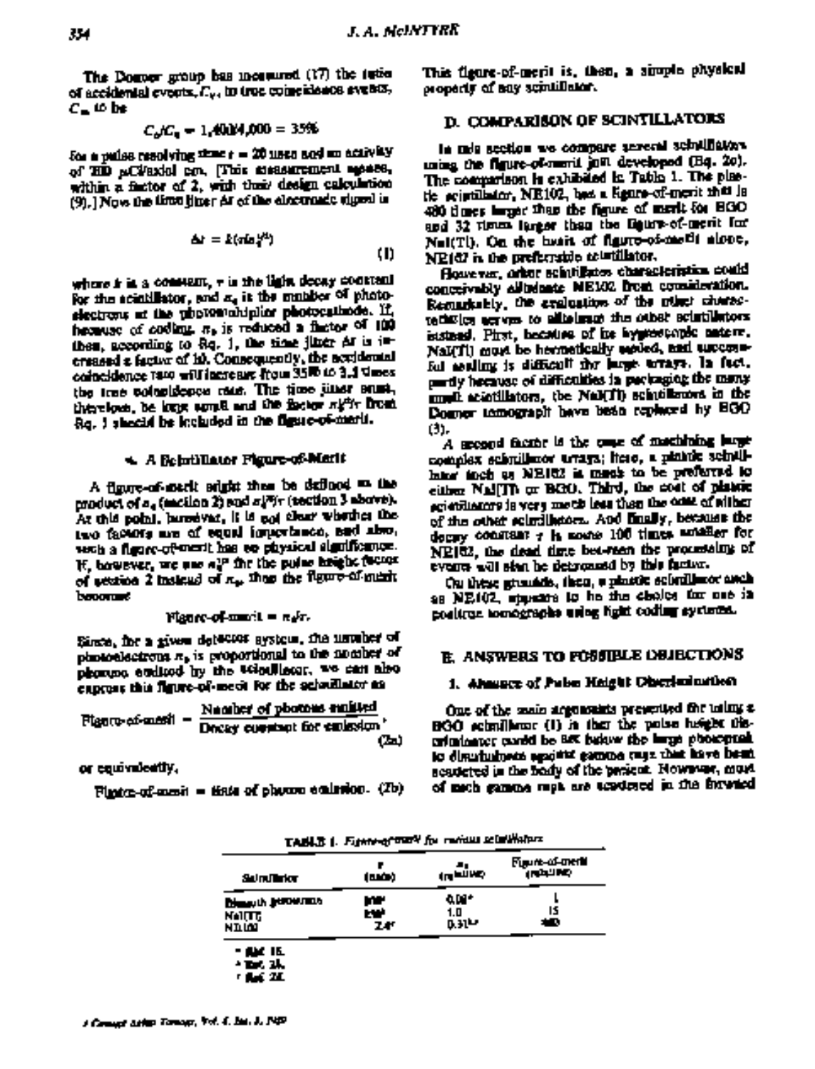The Dogoer group bas moreured (17) the reties of accidental events, I'm, in true coincidence events,  $c_-$  to be

$$
C_{\rm A}C_{\rm A} = 1.4004,000 = 35\%
$$

Son is pulses resolving stand r = 20 meets sock on activity of HD aCVaxial cm. This measurement mones, within a factor of 2, with their design calculation (9), ] Now the time jiner Ar of the electronic tigent is

$$
\Delta t = k(\pi \alpha_1^{*2})
$$
 (1)

where **i**r is a comment, **v** is the light decay constant for the aciatilistor, and  $x_a$  it the manifer of photosiectrons at the unpromobinitor photocations. If, hecause of coding, n, is reduced a factor of 100 then, according to  $Rq$ , 1, the time jinter  $\Delta t$  is  $i$ = creased a factor of it). Consequently, the accidental coincidence rate will increase from 35W to 3.4 Gmes. the true coloridence rate. The time titler study therebore, be long some and the factor night from Rq. I sheeld be included in the figure-of-maris.

# 4. A Belatillator Pigure-of-Marit

A figure-of-merit stight than be defined as the product of a<sub>g</sub> (meilon 2) and *al<sup>m</sup>i*- (tection 3 above). At this point, haroover, it is not clear whether the two factors are of equal importance, and also, with a figure-of-ment has so physical significance. If, bowever, we use all the the pulse height factor of section 2 instead of  $x_{\text{in}}$  that the figure of ment boommed

$$
Hence of mm: 1 = n/r.
$$

Since, for a given detector system, the unvalue of photoelectrons  $\pi_{\mathfrak{p}}$  is proportional to the momber of phonons endleed by the velocitiess. We can also express this figure-of-meck for the scientilator as

$$
P_{\text{light}} = \frac{\text{Number of photons multiplied}}{\text{Dosey constant for emission}}.
$$
\n
$$
(2a)
$$

or equivalently.

 $P$ intra-of-masit = tista of phonon controlor.  $(D)$ 

This figure-of-merit is, then, a simple physical property of any scintificant.

# **D. COMPARISON OF SCINTILLATORS**

la mia section we compare sereral sciulibators using the figure-of-merit just developed (Bq. 20). The comparison is exhibited in Table 1. The plactic existilator, NE102, best a Renre-of-merit that is 480 times larger than the figure of merit for HGO and 32 times larger than the figure-of-merit for Nel(Tl). On the heart of flasto-of-meth alone. NE(67 is the preferrable asturillator.

However, orbor schutikates characteristics could conceivably alludante MEM2 from counideration. Remarkably, the evaluation of the relate charactechnics across to alliabrace the other scientifictors. iststand. Pirst, because of ite hyprospaped nature, NaI(TI) must be hermetically seried, and successful assiling is difficult the large terrays. In fact, partly hermose of difficulties in periosging the many mult acidillators, the NaI(TI) schröllznors in the Dogmer tomograph have been replaced by HGO ω.

A second factor is the case of matchining large complex schmillmor uraga; itero, a plantic scintillater inch as NE162 is meah to be preferred to either Nal[Th or BGO, Third, the cost of plants: egiordinators is very moth loss than the only of wither of the other scientification. And finally, because the docay constant r is most 100 times antifier for NE162, the dead time bet-reen the processing of events will stan be detyorastd by this factor.

Ou these granade, then, a plastic selectionor anch as NE102, statements to he the choics for one in positrus tomographs using light coding systems.

# **E. ANSWERS TO FOSSIELE DEJECTIONS**

# 1. Absence of Pubn Height Oberlenination

One of the main arguments presented for tolms a BGO echnillens: (1) in that the polse height thecriminates cardd be BK below the large photograph to distributions against gamma cape that have been sespected in the body of the pericut. Nowwers, must of mich gamma must are tendered in the interiod

TABLE 1. Figure of the V for review selections

| Sulmullation                                  | (mái)          | <br>مستطرين                   | Figure-of-merk<br>فاللطول |
|-----------------------------------------------|----------------|-------------------------------|---------------------------|
| <b>Discussion Secondary</b><br>NAITE<br>NILMI | m<br>rw.<br>24 | an -<br>1.0<br><b>D. 31 M</b> | ١s<br>40                  |
| <b>- ALC</b> 15.<br>* Br. 24.<br>医鼻突 医肌       |                |                               |                           |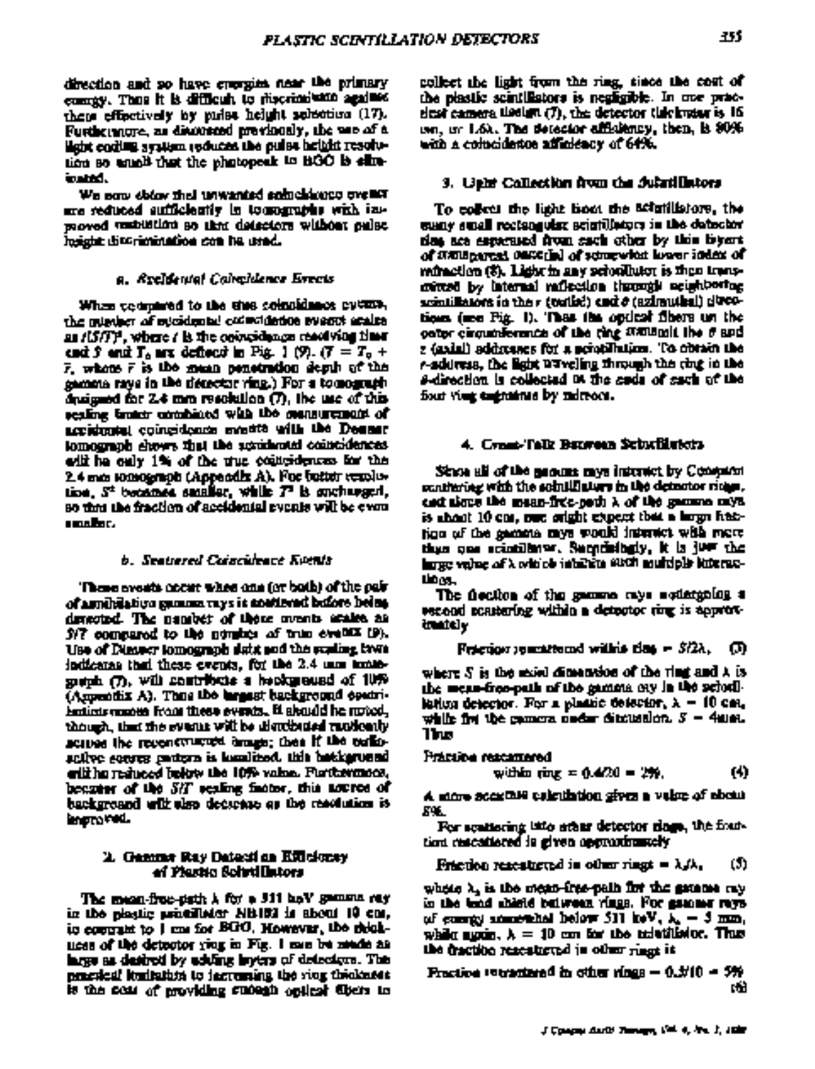direction and so have crospics near the primary compy. Then it is difficult to riscriminate against these effectively by rades height selection (17). Furthermore, as divineed previously, the was of a light coding availant reduces the outer height resolution so emall that the photopeak to BOO is slininated.

We sow obtow that unwanted schoolshops over are reduced sufficiently in to manufely with inproved vestibility so that detectors without pulse. lusistic discrimination can be used.

#### a. Reeldental Calvaldence Erects.

When texturned to the time coincidence cyturn, the minder of sucidental colocidation events acales as /LS/FF, where / is the coincidence readiving them cad 5 and  $T_0$  are deflect in Fig. 1 (9).  $(T = T_0 +$  $\bar{r}$ , where  $\bar{r}$  is the mean penetration depth of the gamma raya in the detector ving.) For a tomograph durigood for 2.4 mm resolution (7), the use of this scaling traints combined with the mensurement of accidental coincidence events with the Deems: tomograph shows that the accidental controlences. will be only 1% of the true contridences for the 2.4 mm tomograph (Appendix A). For futter resolution. St becames smaller, while T' is sucharged, so that the fraction of accidental events will be even amaller.

#### b. Seattered Coincideact Kuttlit

'These areats accur when any (or both) of the pair of annibilation munum rays is souttened before being denoted. The number of these oversts acakes as S/7 compared to the nombes of true events (9). Use of Dimecr tomograph dutit and the scaling laws. indicates that these events, for the 2.4 mm monthsouth (7), will contribute a hepkground of 10% (Assembly A). These the bargast background contrifentiens masses from these events. It abouted he mated, though, that the events will be distributed rapidently scribes the reconstructed broads; then if the coriesailve source partern is komlited, this batkground criting reduced below the 10% value. Purthermoon, because of the SHT realing finator, this nation of backgroand with also decarate as the resolution is energred.

#### 2. Gemma Ray Dataxi an Efficiency of Plastic Scivillators

The mean-free-path A for a 311 hav gamma ray in the plastic princilleder NB102 is about 10 cor. to contrast to I can for BGO. However, the rightuess of the detector ying in Fig. I can be mede as large as destroit by adding layers of detectors. The practical ituliation to jacroming the vior thickness is the cost of providing success optical disciss to

collect the light from the ring, tince the cost of the plastic scintillators is negligible. In one pracdest camera theirs  $(T)$ , the detector (life buttor is 16) um, ur 1.6). The detector affailungy, then, is 80% with a colucidation affinitiony of 64%.

# 3. Ught Callection from the Julari Intors

To collect the light boot the actualistors, the sumy small rectangular acigitalistors in the detector das are especialed from each other by this biyers. of itsuingered, care in a structure has been index of minection (8). Light in any scionThutor is then transcrited by internal raflection through equiphering scintillators in the r (colled) and  $\sigma$  (azimuthal) directions (me Fig. 1). They the optical fibers un the comer circumformants of the ring systems it the 6 and z (axial) addresses for a neighTution. To obtain the r-address, the light DTveling through the ring in the s-direction is collected D. The such of such of the four vier engantees by mirroce.

# 4. Cynni-Talk Batween Schuffluicts.

Since all of the mount mys interact by Compare continuing with the solutilistory in the detector ridge, cast signs the mean-free-path ), of the gamma mys. is about 10 car, one oright expect that a large fieldtigo of the gamma mys would interact with more than one scientillarer. Secretatingly, it is just the inter value of X with the interest such multiple litterac-ம்கூ

The flection of the gamma rays sottergoing a record contering within a detector ring is approxtrattly

**Pricij**or generated within the 
$$
s
$$
 -  $S/2\lambda$ ,  $\Box$ )

where  $S$  is the used dimension of the ring and  $\lambda$  is the mean-free-path of the gamma ony in the scientiliation detector. For a plantic detector,  $\lambda = 10$  can, while five the comora under ditcludion,  $S = 4$ ulat. Ъм

## Práctice rescamered

with 
$$
imx = 0.4/20 = 256
$$
. (4)

A more accretate culculation gives a veloc of about 59.

For scattering into ather detector class, the fourtion rescationed is given approximately

Fraction rescattered in other rings =  $\lambda f \lambda$ . O)

where  $\lambda_n$  is the mean-free-pain for the gatanes my in the bold shield between vings. For gamme rays of compy annotabel below 511 keV,  $\lambda_1 = 3$  mm, while movie,  $\lambda = 10$  can for the advisition. Thus the fraction reseatered in other rings it

$$
Fraction = 0.370 - 5%
$$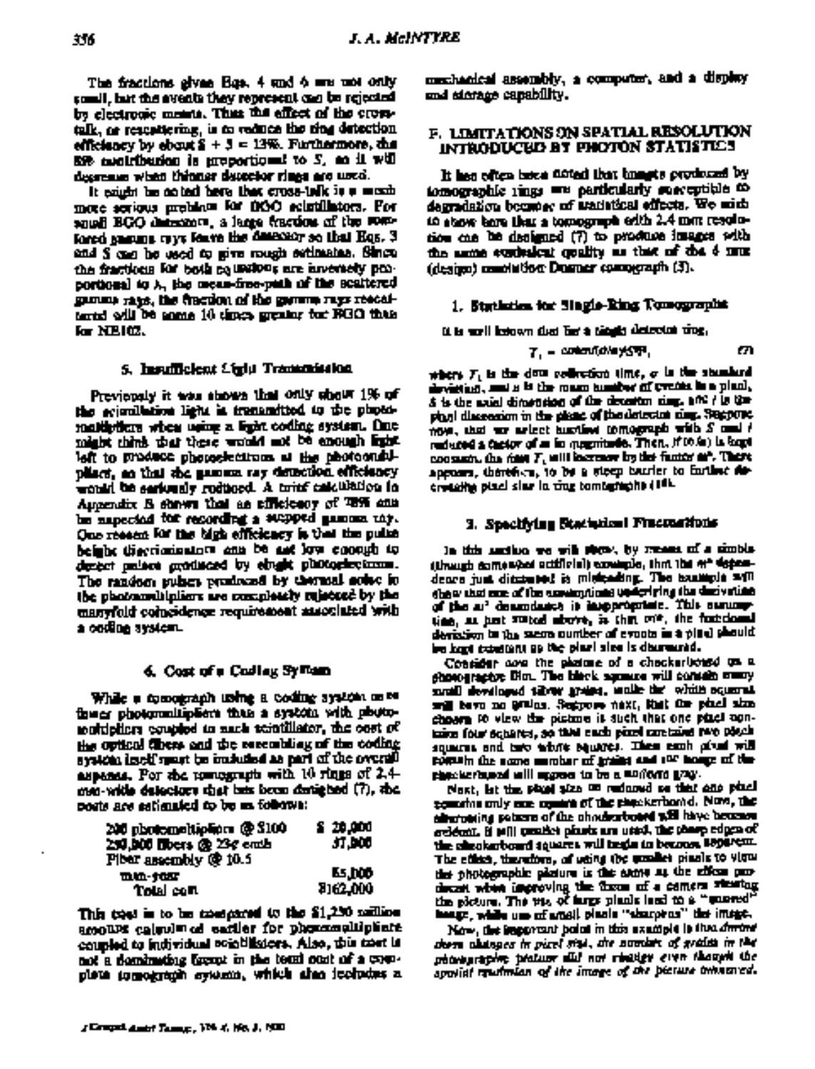The fractions gives Bas. 4 and 6 are not only somell, but the avenits they represent can be rejected by electronic means. Thus the effect of the crosstalk, or rescuttering, is to reduce the ting detection efficiency by ebout  $S + 3 = 13\%$ . Furthermore, the **Rife angletherian is erroportional to S, an il will** degresses wiens thinner describer rings are used.

It exight be noted here that cross-talk is a moodmore serious problem for DOO selutillators. For squali BGO distributor, a large fraction of the somforced spanning curve feares the designation see that Hos. 3 and S can be used to give rough settmates. Since the fractions for both collection, are inversely proportional to ). the mean-free-puth of the scattered gumma rays, the finction of the gumma rays rescalternd will be some 10 times greater for RGO than la Neill.

#### 5. Insuillelent Eiglµ Transmission

Previously it was shown that only show 1% of the econolistics light is transmitted to the photomalthelicre when using a light coding system. One might think that there would not be anough from left to produce photogeneticing at the photographplace, so that she gamma ray detection efficiency would be seriously reduced. A tring calculation in Appendix B shown that as efficiency of T895 ann be superiod tor recording a supped gamma my. One resear for the bigh efficiency is that the pulse beight thermomentom and be ast low cooput to denter palace graduated by elugic photographizms. The random pulses produced by thermal noise in the photomultipliers are completely related by the manyfold compidence requirement amociated with a codina system.

#### 6. Cost of a Codley Sylvan

While a comograph uning a coding system on rethese photomaliplics than a systom with photomultipliers coupled to such scietillator, the cost of the optical direct and the recombling of the coding systom inself spart be included as nort of the overall aspanes. For the remember with 10 rings of 2.4men-with delectors shat but been during bod (7), she posts are estimated to be an follows:

| 200 photomoltipliers @ 3100<br>250,000 fibers @ 23¢ emb | 8 20 ani<br>37.DOJ |
|---------------------------------------------------------|--------------------|
| Plear assembly @ 10.5                                   |                    |
| mm-tar                                                  | Ls hop             |
| Total com                                               | 8162,000           |

This tool is to be measured to the \$1,250 million amoups calculated earlier for phonomolificite. coupled to individual somelikeers. Also, this treat is not a dominating front in the tensi cost of a complete tomograph system, which shan icoludes a mechanical assembly, a computer, and a display and *ticrage* capability.

## **F. LIMITATIONS ON SPATIAL RESOLUTION** INTRODUCEUS BY PHOTON STATISTICS

It has often been field that imagin produced by tomographic rings are particularly surveytible to degradation because of tradutical effects. We mish to show have that a tomograph odth 2.4 mm resolution can be designed (7) to produce images with the same evaluatout coulity as that of the 6 mm (design) mandathon Durner comperants (3).

# 1. Statistics for Single-Ring Tomographs

it is well belown that for a teaple detector vive,

$$
T_{\rm s} = constant d/dy \sqrt{3}T_{\rm s} \qquad \qquad \text{or} \qquad
$$

where  $\mathcal{F}_1$  is the down collection time,  $\sigma$  is the standard devicting, and it is the mann bundler of cycles in a plant, & is the axial dimension of the decentor cing, and / is the play) discreasion in the clienc of the detector ning. Secretor. now, that we ariset turning tomograph with  $S$  and  $t$ reduced a castor of m in openiteds. Then, if to in ) is kept consumer, the right  $\mathcal{F}_n$  will know by the funct of . There appears, therefore, to be a steep barrier to farther decreating pixel sine in this tomographs (18).

# 3. Specifying Statistical Frecountions

In this auction we will stope, by means of a simple (though come what actificial) consigle, that the 4th depastdence just ditcreased is michaeling. The example will show that one of the exemptions underlying the decivation of the al' descodance is insepropriate. This surveytime, as hert stated above, is that over the furndomal derissiwn to the searc number of evonts in a play) phould. be had twelfan as the plan size is demanded.

Consider age the photone of a chacker boast us a shorography: Dim. The black agence will consum www.y mull developed tilver grand, under the white squares. will be you no getting. Segrees make, that the place size. choors to view the picture it such that one pixel conkaine four schartes, so that each pixel contains rare pisch squares and two whole squares. These each pixel will popula the same sember of grains and sur house of the phecieria.end will appear to be a markets gray.

Nost, let the plant size on reduced so that cao place comeins only one comes of the sheekerboard. Now, the allurioning potents of the chorkerboard will have become erbeat. If will would plasts are used, the these edges of the checkerboard squares will texts to become Reparem. The effect, therefore, of using the model pinals to view the photographic plature is the atms as the effice prochecast when improving the three of a comers steating the picture. The vis, of farge plank land to a "sunred" heage, while use of anall plants "sharpters" the image.

Now, the important bolot in this example is that directed there allahoped in pixel sigl., the number of grains in the phonographic protuor all not risates can though the applied resultation of the image of the bicture built area.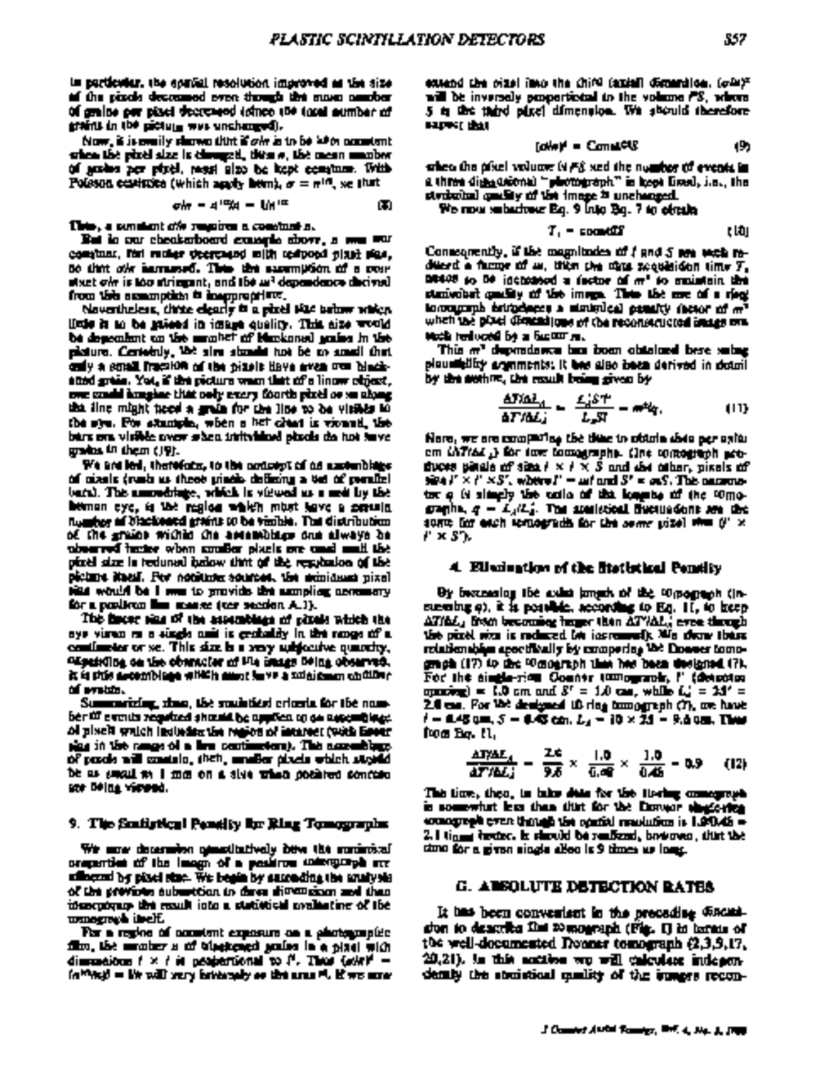in particular, the spatial resolution improved as the size of the pixels decommed even though the nase amober of grains per placi decreased icines (00 total number of grains in the picture was unchanged).

Now, it is evaily shown that if one is to be with normiant. othen the pixel size is changed, then a, the mean manbor of grows per pixel, resul also be kept economy. With Poleson existing (which angly hem),  $\sigma = \pi^{1/3}$ , we that

$$
\sigma h = A^{12} A = bh^{12} \tag{5}
$$

This, a senatori of respires a constant a.

But in our checkerboard countries above, a new war communs, fort reclier thermore mith testpoed plant size, no that offer harmonics. Then the accomption of a constart of is too stringent, and the as<sup>3</sup> dependence decived. from this assumption is inappropriate.

Novembeless, three electric is a pixel title below which linie is to be priced in image quality. This aize would be dependent on the monitor of Markonal grains in the plature. Certobily, We sim sixualit hat be as small that only a small fraction of the pixels there area over blackatted greas. You, if the picture wasn that of a linew object, ove small kongler that only every foorth pixel or so along that fine might tend a small for the line to be visible to the syn. For stample, when a het cleat is viewed, the burs ons visible over sizen initialized places de hot twee gradus in them (19).

We are led, therefore, to the concept of as assemblage of cixels (rush as these pinels defining a 6et of penaltel bara). This amonotrings, which is viewed as a medility the heman cyc, is the region which must have a coronic twarter of blacksated grains to be visible. The distribution of the grains within the assemblance and always be abserved hadre when analler plack one and mult the pixel size in redunal balow that of the resultation of the icime Nasil. Per notitutu sources, the minidum pixal as would be I me to provide the annoling annualny for a positron line masse (cer secolon A.J).

The fincer size of the assemblage of pixels which the ays virus ra a single and is cratality in the range of a continuous or se. This size is a very subjective quantity, Ofgetiviling on the observator of the neuge being observed. is in this meant happen with the same that is so the sign of the signal that is of problem.

Summarizing, then, the studetical eritoria for the number til events regulaed sharaid be applien og sa napemblage. ol pisch wuch leducha the region of interest (with Emer play in the range of a fire continue only. This assembly go of pools will smalle, then, unafter pixels which straight be as smoul my I me on a sive when position sources. one della viennea.

#### 9. The Southrings Panelity for Ring Tomographs.

We more determine quantitatively bow the commissal oraperties of the leagu of a perferou solengerph are uffnered by piaci sinc. We begin by succeding the study sis of the provides subsection to deve dimension and than tosocrovary the result into a statistical mediating of the wmogreph in clf.

For a region of constant exposure on a photographic film, the amotor a of blackened action in a placi with dimensions  $t \times t$  is posteriorial to  $t^t$ . Thus  $\langle x \rangle t^t =$ (n<sup>10</sup>/k)) = lik will yery intringaly so the area <sup>pi</sup>. If we array extend the cizel into the chi<sup>ca</sup> (axial) distantion, (c<sup>hi</sup>)<sup>x</sup> will be inversely proportional to the volume PS, where 5 in this third placi dimension. We should therefore म्बरूप केल

$$
[ab^* + Cm + c] \tag{9}
$$

when the pixel volume is  $F\ell$  and the number of events in  $\ell$ a th**rea** di<u>de acoma) "photograp</u>h" is beet limel, i.e., the strake hall gaselity of the image is unchanged.

We now subschool Eq. 9 into Eq. 7 to electe

$$
T_1 = \text{constant} \tag{10}
$$

Connequently, if the magnitudes of  $f$  and  $S$  are vectorsdiffered a factor of  $\omega$ , then the three sequencies time  $T_{\rm e}$ DR408 so De includeed a sector of m<sup>e</sup> so maintain the stanivolent quadity of the image. Then the core of a rieg: incompanh brinchecks a similarly penalty (befor at m<sup>3</sup> when the place dimensions of the reconstructed image one Moda herioced by a factor re.

This m<sup>a</sup> deproduces has been obtained bere saing. plauwhility arguments; it has also been derived in down! by the section, the result being given by

$$
\frac{\Delta T/\Delta L_A}{\Delta T/\Delta L_A} = \frac{L_A^{\dagger} S^{\prime\prime}}{L_B S^{\prime}} = m^{\dagger} k_I, \qquad (11)
$$

Nore, we are comparing the time to obtain this per spits. om (A7164 ) for two tomographs. (Ine comograph secthrows pleads of size  $t \times t \times S$  and also caller, pixels of  $\mathbf{S}^2 \triangleq \mathbf{J}^2 \times \mathbf{J}^2 \times \mathbf{S}^2$ , where  $\mathbf{J}^2 = \mathbf{m} \mathbf{f}$  and  $\mathbf{S}^2 = \mathbf{m} \mathbf{S}$ . This matternstor a is simply the calls of the longits of the compgraphs,  $q = L_1/L_2$ . The sometimal fluctuations are the some for each temperade for the same pize) that (i' x F × 57.

#### 4. Elisabetian of the litetistical Penelty.

By becausing the solar imach of the tomograph (inmembre 4), it is possible, according to Eq. 11, to beep ATIAL, from becoming imper than ATVAL, even through the pixel was in reduced be increased). Mis dear there relationships apactically by compering the Energy tomograph (17) to the Winoursph that has been designed (7). For the single-rion Countr tumograph,  $l'$  (denotion opening) = 1.0 cm and  $S' = 1.0$  cm, while  $L'_2 = 2.1' =$ 2.0 cm. For the designed 10 ring tomograph (7), are have  $t=0.45$  and,  $S=0.45$  can,  $L_{d}=10\times 24=9.4$  and, Then fon Bo. II.

$$
\frac{\Delta T / \Delta L_A}{\Delta T / \Delta L_A} = \frac{2.6}{9.6} \times \frac{1.0}{0.46} \times \frac{1.0}{0.46} = 0.9 \quad (12)
$$

This time, then, in lake date for the liveing comegraph is somewhat less than thirt for the Dower shapes the comogregh even though the opiniol resolution is 1.90.45 = 2.1 tiggs brotec, is should be realized, basemen, that the timo for a given single alloo is 9 times us long.

#### **G. ARSOLUTE DETECTION RATES**

It has been convenient in the preceding discuss. sion to denotics first comparants (Fig. 1) in large of the well-documented Donner tomograph (2,3,3,17, 20,21), in this accident we will calculate independently the studistical maility of the immers recon-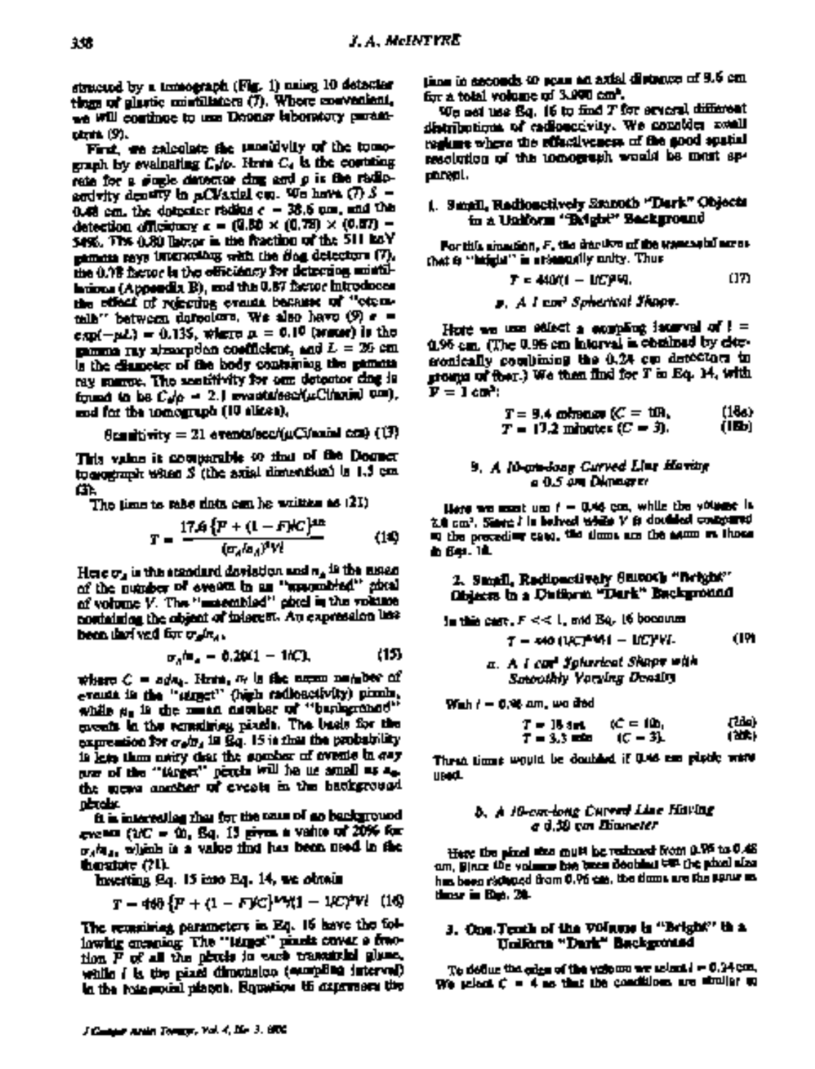structed by a tresograph (Fig. 1) mains 10 detector tions of alastic mistillators (7). Where meventions, we will continue to use Dooner laboratory paramutrit (9).

First, we selected the unsubvity of the tomograph by evaluating C<sub>10</sub>. Here C<sub>1</sub> is the contring rate for a giugle detector chez and o is the radioand rity density in a CV axial cup. We have  $(D, S, -)$ 0.48 cm, the dotestics radius  $c = 38.6$  cm, and the detection officiations  $c = (0.50 \times (0.78) \times (0.57) =$ \$4%. The 0.80 labor in the fraction of the 511 kgY pamora rays interstating with the dog detectors (7), the 0.18 factor in the officiancy for detecting mintilhtippa (Appeedix B), and the 0.87 factor introduces the effect of rescribe evants because of "etconmin'' between derestors. We also have (9) e =  $exp(-pL) = 0.135$ , where  $p = 0.10$  (sense) is the manna ray absorption coefficient, and  $L = 26$  cm. is the diameter of the body containing the gamma ray suggest. The assistivity for our detector cing is from the basic  $C_{\rm eff}$  = 2.1 evantables  $C_{\rm eff}$ Citarial 0.00). and for the tomograph (10 elizes),

$$
\theta_{\text{Coulity}} = 21 \text{ arankile} \text{cc} / \mu \text{C} / \text{rand} \text{ cct} \text{C} / \text{C} \text{C}
$$

This value it comparable to that of the Domer to see property when S (the axial dimension) is 1.5 cm œ.

The time to rabe data can be written as (21)

$$
T = \frac{17.6\left\{F + (1 - F)/C\right\}^{2n}}{(x_{\rm s}/x_{\rm d})^3 V!}
$$
 (14)

Here  $\sigma_s$  is this standard deviation and  $\sigma_s$  is the assenof the pupper of events in an "uncombied" sixal of volume V. The "matembiad" obtel in the volume nortaining the object of interest. An expression line been that yet for each.

$$
\sigma_{\rm s}h_{\rm s} = 0.2041 - 1600, \tag{15}
$$

where  $C = s d\mathbf{a}_k$ . Here,  $\mathbf{a}_l$  is the norm nature of evants in the "struct" (high radioactivity) pixels, while  $\mu_0$  is the numan naturber of "bankgronod" coceds in the constities pixels. The basis for the expression for  $\sigma_0/\sigma_4$  in Eq. 15 is that the probability is loss than neary that the speaker of events in gay are of the "tures" petch will be us small as a the more another of events in the hankground nizale:

it is interesting that for the team of no background  $_{\rm{ex}}$  and (2/C =  $\bar{\rm{m}}$ , Sq. 13 gives a value of 20% for  $\sigma_A/\sigma_A$ , which is a value that has been used in the hostate (?l).

haverting (2q. 15 into Eq. 14, we obtain

$$
r = 468\{P + (1 - F)C\}^{1/2} + 1 - 1/C)^{2}Vt \quad (16)
$$

The remaining parameters in Eq. 16 have the following encapting. The "target" pixels cover a freetion F of all the pitchs in each transitial glues, while I is the pixel dimetation (excepting interval) in the resonanced places. Reportion to assume the time in ascords 40 pour an axial distance of 9.6 cm. for a total volume of 3.990 cm<sup>2</sup>.

We not use Eq. 16 to find T for several different distributions of cadioaccivity. We countden assail regiune where the effectiveness of the good soutial resolution of the tomograph would be must senareal.

# i. Small, Radioactively Stanoth "Dark" Objects in a Uniform "Belgin" Seckground

For this simulation, F. the decision of the transactul acresthat is "hifteln" in arising ally policy. Thus

$$
T = 440(1 - 100)^2 \text{V}.
$$
 (17)

s. A I car Spherical Thaps.

House we use added a excepting iscorval of ! = 0.96 cm. (The 0.96 cm interval is obtained by elecconically coultiming the 0.24 cm detectors in groups of fber.) We then find for T in Eq. 14, with  $\mathbf{F} = \mathbf{I}$  cm :

$$
T = 9.4 \text{ otherwise } (C = 100, \quad (166) T = 17.2 \text{ minutes } (C = 3). \quad (16b)
$$

#### 9. A lib-pro-loop Curved Line Having a 0.5 am Dimagrer

Here we must use t = 0.44 cm, while the volume is Z.O. cm2, Siner: I in believed while V is doubled contextual a the preceding case, the dome are the same as those **d: 641. 181.** 

# 2. Small, Radioactivaly Surooth "Bright" Objects in a Duttorm "Durk" Background

in this case,  $F \ll 1$ , and Eq. 16 becomes

$$
T = 440 (127)^{24} + 100 \text{V} \text{V}.
$$
 (19)

With  $t=0.98$  am, we died

$$
T = 15 \text{ and } C = 100, \qquad (200)
$$
  

$$
T = 3.3 \text{ and } C = 31. \qquad (205)
$$

Threa times would be doubled if 0.45 cm platfy ward **used.** 

## b. A 10-cm-long Current Line Hisving a d.30 cm Diameter

Here the pixel size must be reduced from 0.95 to 0.48 om, Bince the volume has been deathed the che abod also has been richard from 0.96 cm, the times are the sons as these in Eqs. 24.

## 3. One Texth of the Volume is "Bright" in a Uniform "Dark" Background

To define the calen of the values we select i = 0.24 cm. We select  $C = 4$  as that the conditions are straight up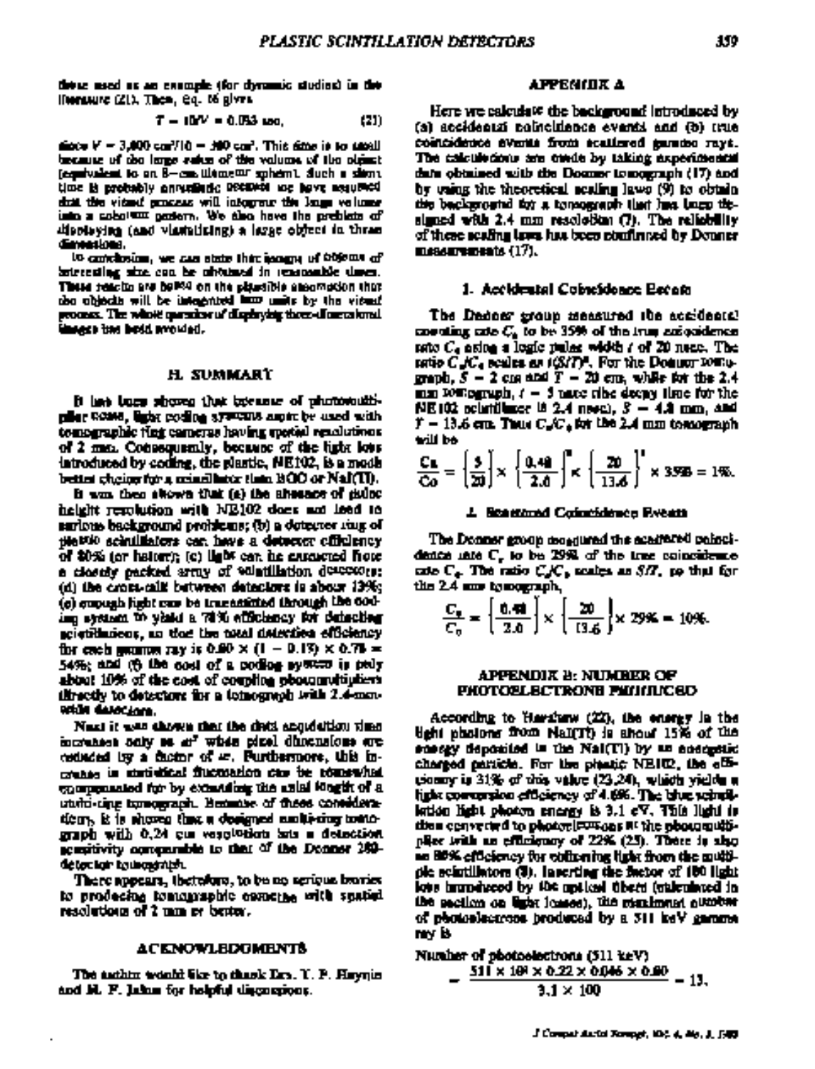these meet as an example (for dynamic studies) in the Hernaure (21), Then, eq. 16 gives

$$
T = 10V = 0.053 \text{ and } (21)
$$

shops  $V=3.000$  can' $710=300$  can'. This sime is to assall because of the large raise of the valuant of the object. (equivalent to an 8—cm Wamest sphem), duch a slivny time is probably annualisate received me have assumed dual the vitant puncess will integrate the large veloper into a cobolum gastern. We also have the preblate of displaying (and visibiliting) a large object in thran dimentos:

to conclusion, we can state this isogny of objects of batrecaling size con he advised in reasonable them. Thus reacto are belief on the plastible absomption that the objects will be integrated how units by the viewal process. The whole question of displaying three-dimensional **Universities besidemoided.** 

#### H. SUMMART

It has been showed that because of photosouthplier COME, light coding systems aspire be used with tomographic fing cameras having spotial resolutions. of 2 mm. Consequently, because of the light loss introduced by coding, the plantic, NE102, is a mode bettet cheige for a geinelliche Hata BOO of NaI(TI).

is was then shown that (a) the showare of culor height repolation with NB102 does not load to surlous background problems; (b) a detector roug of tilettio schulliators can have a detector officiency. of \$0% (or hatter); (c) light can be extended flore. a closely packed army of whatillation descesses: (d) the cross-call: butween datactors is about 139k; (e) empugh jight can be transmitted through the codimp system to yield a 70% attickney for detecting scientimiens, an time the meal detection efficiency for each gamma ray is 0.00  $\times$  (1 - 0.13)  $\times$  0.73 = 54%; and (6 the cost of a podice system is pely about 10% of the cost of coupling obourguitipliers threetly to detectors for a tomograph with 2.4-mm-**RELIA GALOCIANA.** 

Next it was shown that the dists appealtion view increases only so at whis pixel dimensions are coducted by a ductor of et. Purthermore, this increase in statistical fluctuaries can be romanized enorganizated for by exampling the sailal Magift of a unito time turnomagn. Beaming of these consideradoors. It is showed that a designed asoluteing totalsgraph with 0,24 cm vesolution ans a detection. scentivity comparable to that of the Donner 289detector to modelet.

There appears, thetelors, to be no serious braries to prodecing tomamaphic comerge with spatial resolutions of 2 mm or better.

#### **ACENOVLEDUMENTS**

The authin would like to thank Ers. Y. P. Haynin and H. F. Lakes for holpful disconsions.

#### АРРЕМІЛК А

Here we calculate the background introduced by (a) accidental coincidence evants and (b) true. coincidence events from scattered gammo rays. The calculations are enede by taking experimental data obtained with the Docume tomograph (17) and by vains the theoretical acaling laws (9) to obtain the background by a tomograph that has been thesigned with  $2.4$  mm resolution  $(7)$ . The reliability of these scaling laws has been confirmed by Donmer. messurements (17).

#### 1. Accidental Cobieidonce Becom

The Dedner group measured the accidental coording cate  $C_{\rm a}$  to be 35% of the true and colored  $\epsilon$ rate  $C_4$  asing a logic pulse width  $t$  of 20 nece. The ratio  $C_4/C_4$  scales as  $(SMP)$ . For the Domain tomograph,  $S = 2$  can and  $T = 20$  cm, while for the 2.4  $mn$  romagnuph,  $t = 3$  name ribe deepy time for the NE102 ochriftinge is 2.4 neve), *3 –* 4.4 mm, and  $\ddot{r} = 13.6$  cm. Thus  $C_{\rm s} C_{\rm s}$  for the 2.4 mm temperaph trill be

$$
\frac{C_4}{C_0} = \left\{\frac{5}{20}\right\} \times \left\{\frac{0.48}{2.0}\right\} \times \left\{\frac{20}{13.6}\right\}^3 \times 3595 = 1\%
$$

#### *1. Benettmed Coincidence Events*

The Donner group decadured the academy paincidence into C, to be 29% of the tree coincidence cate  $C_{+}$ . The ratio  $C_{+}C_{+}$  scales as  $\delta H_{-}$  to that for the 2.4 mm to nongraph,

$$
\frac{C_9}{C_9} = \left\{ \frac{0.49}{2.0} \right\} \times \left\{ \frac{20}{13.6} \right\} \times 29\% = 10\%.
$$

#### **APPENDIX B: NUMBER OF** PHOTOBLECTRONE PHIHINCED

According to Harghaw  $(22)$ , the energy in the dghi photons from NaI(Tt) is shown 15% of the scargy deposited in the NaI(TI) by an energetic charged particle. For the plastic NEIT2, the effiusomry in  $31\%$  of this value  $(23.24)$ , which vields a light corresponse their new of 4.6%. The blue schoolkation light photon energy is 3.1 cV. This light is then converted to photoelevisons at the photomultiplice with an efficiency of 22% (25). There is shot an BD% efficiency for collecting light from the multiple scintillators (3). Inserting the factor of 100 light love humodyced by the motical übert (walculayed in the section on light fosses), the maximum number of photoslectrons produced by a 311 keV gamme. nny B

Number of photoelectrons (511 keV)  
= 
$$
\frac{511 \times 101 \times 0.22 \times 0.046 \times 0.00}{3.1 \times 100} = 13.
$$